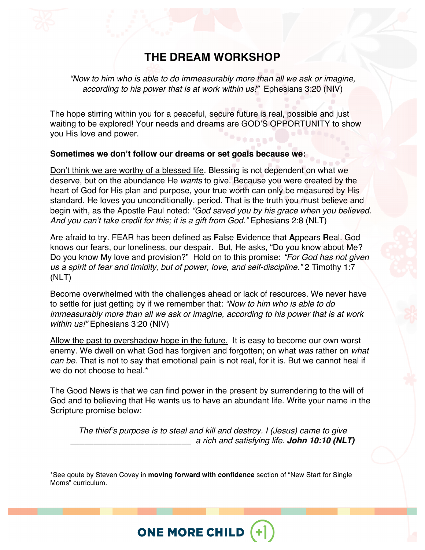# **THE DREAM WORKSHOP**

*"Now to him who is able to do immeasurably more than all we ask or imagine, according to his power that is at work within us!"* Ephesians 3:20 (NIV)

The hope stirring within you for a peaceful, secure future is real, possible and just waiting to be explored! Your needs and dreams are GOD'S OPPORTUNITY to show you His love and power.

#### **Sometimes we don't follow our dreams or set goals because we:**

Don't think we are worthy of a blessed life. Blessing is not dependent on what we deserve, but on the abundance He *wants* to give. Because you were created by the heart of God for His plan and purpose, your true worth can only be measured by His standard. He loves you unconditionally, period. That is the truth you must believe and begin with, as the Apostle Paul noted: *"God saved you by his grace when you believed. And you can't take credit for this; it is a gift from God."* Ephesians 2:8 (NLT)

Are afraid to try. FEAR has been defined as **F**alse **E**vidence that **A**ppears **R**eal. God knows our fears, our loneliness, our despair. But, He asks, "Do you know about Me? Do you know My love and provision?" Hold on to this promise: *"For God has not given us a spirit of fear and timidity, but of power, love, and self-discipline."* 2 Timothy 1:7 (NLT)

Become overwhelmed with the challenges ahead or lack of resources. We never have to settle for just getting by if we remember that: *"Now to him who is able to do immeasurably more than all we ask or imagine, according to his power that is at work within us!"* Ephesians 3:20 (NIV)

Allow the past to overshadow hope in the future. It is easy to become our own worst enemy. We dwell on what God has forgiven and forgotten; on what *was* rather on *what can be*. That is not to say that emotional pain is not real, for it is. But we cannot heal if we do not choose to heal.\*

The Good News is that we can find power in the present by surrendering to the will of God and to believing that He wants us to have an abundant life. Write your name in the Scripture promise below:

*The thief's purpose is to steal and kill and destroy. I (Jesus) came to give \_\_\_\_\_\_\_\_\_\_\_\_\_\_\_\_\_\_\_\_\_\_\_\_\_\_ a rich and satisfying life. John 10:10 (NLT)*

\*See qoute by Steven Covey in **moving forward with confidence** section of "New Start for Single Moms" curriculum.

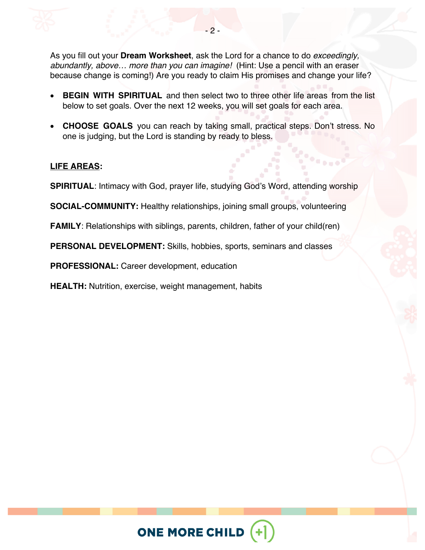As you fill out your **Dream Worksheet**, ask the Lord for a chance to do *exceedingly, abundantly, above… more than you can imagine!* (Hint: Use a pencil with an eraser because change is coming!) Are you ready to claim His promises and change your life?

- **BEGIN WITH SPIRITUAL** and then select two to three other life areas from the list below to set goals. Over the next 12 weeks, you will set goals for each area.
- **CHOOSE GOALS** you can reach by taking small, practical steps. Don't stress. No one is judging, but the Lord is standing by ready to bless.

## **LIFE AREAS:**

**SPIRITUAL**: Intimacy with God, prayer life, studying God's Word, attending worship

**SOCIAL-COMMUNITY:** Healthy relationships, joining small groups, volunteering

**FAMILY**: Relationships with siblings, parents, children, father of your child(ren)

**PERSONAL DEVELOPMENT:** Skills, hobbies, sports, seminars and classes

**PROFESSIONAL:** Career development, education

**HEALTH:** Nutrition, exercise, weight management, habits